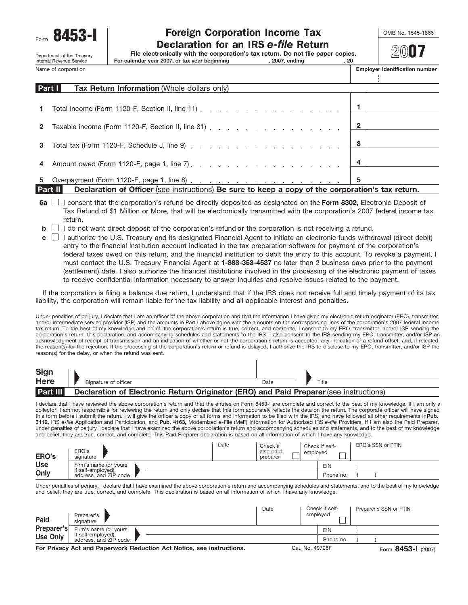Department of the Treasury<br>Internal Revenue Service

# Form **8453-I** Toreign Corporation Income Tax **COMB No. 1545-1866**<br>Declaration for an IRS *e-file* Return

**File electronically with the corporation's tax return. Do not file paper copies.**

Internal Revenue Service **For calendar year 2007, or tax year beginning , 2007, ending , 20**

**20**07

÷

| Name of corporation | <b>Employer identification number</b> |
|---------------------|---------------------------------------|
|                     |                                       |

|              | Part I<br><b>Tax Return Information</b> (Whole dollars only) |   |  |
|--------------|--------------------------------------------------------------|---|--|
|              |                                                              |   |  |
| $\mathbf{1}$ |                                                              |   |  |
| $\mathbf{2}$ | Taxable income (Form 1120-F, Section II, line 31) 2          |   |  |
| 3            | Total tax (Form 1120-F, Schedule J, line 9) $\ldots$ 3       |   |  |
|              |                                                              |   |  |
| 4            |                                                              |   |  |
| 5.           |                                                              | 5 |  |

**Part II Declaration of Officer** (see instructions) **Be sure to keep a copy of the corporation's tax return.**

- **6a**  $\Box$  I consent that the corporation's refund be directly deposited as designated on the Form 8302, Electronic Deposit of Tax Refund of \$1 Million or More, that will be electronically transmitted with the corporation's 2007 federal income tax return.
- **b**  $\Box$  I do not want direct deposit of the corporation's refund **or** the corporation is not receiving a refund.
- I authorize the U.S. Treasury and its designated Financial Agent to initiate an electronic funds withdrawal (direct debit) **c** entry to the financial institution account indicated in the tax preparation software for payment of the corporation's federal taxes owed on this return, and the financial institution to debit the entry to this account. To revoke a payment, I must contact the U.S. Treasury Financial Agent at **1-888-353-4537** no later than 2 business days prior to the payment (settlement) date. I also authorize the financial institutions involved in the processing of the electronic payment of taxes to receive confidential information necessary to answer inquiries and resolve issues related to the payment.

If the corporation is filing a balance due return, I understand that if the IRS does not receive full and timely payment of its tax liability, the corporation will remain liable for the tax liability and all applicable interest and penalties.

Under penalties of perjury, I declare that I am an officer of the above corporation and that the information I have given my electronic return originator (ERO), transmitter, and/or intermediate service provider (ISP) and the amounts in Part I above agree with the amounts on the corresponding lines of the corporation's 2007 federal income tax return. To the best of my knowledge and belief, the corporation's return is true, correct, and complete. I consent to my ERO, transmitter, and/or ISP sending the corporation's return, this declaration, and accompanying schedules and statements to the IRS. I also consent to the IRS sending my ERO, transmitter, and/or ISP an acknowledgment of receipt of transmission and an indication of whether or not the corporation's return is accepted, any indication of a refund offset, and, if rejected, the reason(s) for the rejection. If the processing of the corporation's return or refund is delayed, I authorize the IRS to disclose to my ERO, transmitter, and/or ISP the reason(s) for the delay, or when the refund was sent.

 $\overline{\phantom{a}}$ 

| Sign            |                                                                                        |      |       |
|-----------------|----------------------------------------------------------------------------------------|------|-------|
| <b>Here</b>     | Signature of officer                                                                   | Date | Title |
| <b>Part III</b> | Declaration of Electronic Return Originator (ERO) and Paid Preparer (see instructions) |      |       |

I declare that I have reviewed the above corporation's return and that the entries on Form 8453-I are complete and correct to the best of my knowledge. If I am only a collector, I am not responsible for reviewing the return and only declare that this form accurately reflects the data on the return. The corporate officer will have signed this form before I submit the return. I will give the officer a copy of all forms and information to be filed with the IRS, and have followed all other requirements in **Pub. 3112,** IRS *e-file* Application and Participation, and **Pub. 4163,** Modernized e-File (MeF) Information for Authorized IRS *e-file* Providers. If I am also the Paid Preparer, under penalties of perjury I declare that I have examined the above corporation's return and accompanying schedules and statements, and to the best of my knowledge and belief, they are true, correct, and complete. This Paid Preparer declaration is based on all information of which I have any knowledge.

| ERO's      | ERO's<br>signature                          | Date | Check if<br>also paid<br>preparer | Check if self-<br>emploved | ERO's SSN or PTIN |
|------------|---------------------------------------------|------|-----------------------------------|----------------------------|-------------------|
| <b>Use</b> | Firm's name (or yours                       |      |                                   | EIN                        |                   |
| Only       | if self-employed),<br>address, and ZIP code |      |                                   | Phone no.                  |                   |

Under penalties of perjury, I declare that I have examined the above corporation's return and accompanying schedules and statements, and to the best of my knowledge and belief, they are true, correct, and complete. This declaration is based on all information of which I have any knowledge.

| Paid                                                                  | Preparer's<br>signature                                              |  |  | Date | Check if self-<br>employed |            |                    | Preparer's SSN or PTIN |
|-----------------------------------------------------------------------|----------------------------------------------------------------------|--|--|------|----------------------------|------------|--------------------|------------------------|
| Preparer's                                                            | Firm's name (or yours<br>if self-employed),<br>address, and ZIP code |  |  |      |                            | <b>EIN</b> |                    |                        |
| <b>Use Only</b>                                                       |                                                                      |  |  |      |                            | Phone no.  |                    |                        |
| For Privacy Act and Paperwork Reduction Act Notice, see instructions. |                                                                      |  |  |      | Cat. No. 49728F            |            | Form 8453-1 (2007) |                        |